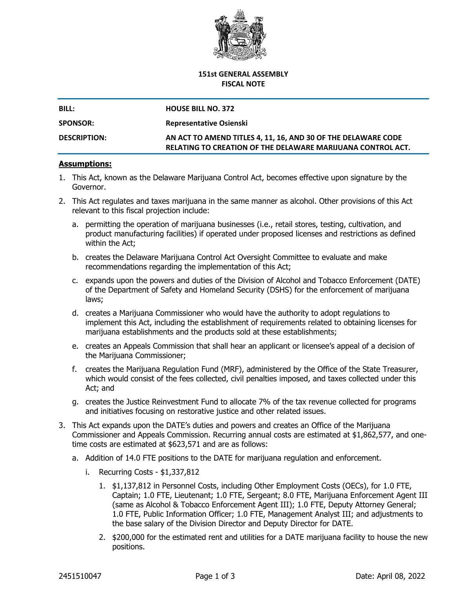

## **151st GENERAL ASSEMBLY FISCAL NOTE**

| <b>BILL:</b>        | <b>HOUSE BILL NO. 372</b>                                                                                                    |  |  |
|---------------------|------------------------------------------------------------------------------------------------------------------------------|--|--|
| <b>SPONSOR:</b>     | <b>Representative Osienski</b>                                                                                               |  |  |
| <b>DESCRIPTION:</b> | AN ACT TO AMEND TITLES 4, 11, 16, AND 30 OF THE DELAWARE CODE<br>RELATING TO CREATION OF THE DELAWARE MARIJUANA CONTROL ACT. |  |  |

## **Assumptions:**

- 1. This Act, known as the Delaware Marijuana Control Act, becomes effective upon signature by the Governor.
- 2. This Act regulates and taxes marijuana in the same manner as alcohol. Other provisions of this Act relevant to this fiscal projection include:
	- a. permitting the operation of marijuana businesses (i.e., retail stores, testing, cultivation, and product manufacturing facilities) if operated under proposed licenses and restrictions as defined within the Act;
	- b. creates the Delaware Marijuana Control Act Oversight Committee to evaluate and make recommendations regarding the implementation of this Act;
	- c. expands upon the powers and duties of the Division of Alcohol and Tobacco Enforcement (DATE) of the Department of Safety and Homeland Security (DSHS) for the enforcement of marijuana laws;
	- d. creates a Marijuana Commissioner who would have the authority to adopt regulations to implement this Act, including the establishment of requirements related to obtaining licenses for marijuana establishments and the products sold at these establishments;
	- e. creates an Appeals Commission that shall hear an applicant or licensee's appeal of a decision of the Marijuana Commissioner;
	- f. creates the Marijuana Regulation Fund (MRF), administered by the Office of the State Treasurer, which would consist of the fees collected, civil penalties imposed, and taxes collected under this Act; and
	- g. creates the Justice Reinvestment Fund to allocate 7% of the tax revenue collected for programs and initiatives focusing on restorative justice and other related issues.
- 3. This Act expands upon the DATE's duties and powers and creates an Office of the Marijuana Commissioner and Appeals Commission. Recurring annual costs are estimated at \$1,862,577, and onetime costs are estimated at \$623,571 and are as follows:
	- a. Addition of 14.0 FTE positions to the DATE for marijuana regulation and enforcement.
		- i. Recurring Costs \$1,337,812
			- 1. \$1,137,812 in Personnel Costs, including Other Employment Costs (OECs), for 1.0 FTE, Captain; 1.0 FTE, Lieutenant; 1.0 FTE, Sergeant; 8.0 FTE, Marijuana Enforcement Agent III (same as Alcohol & Tobacco Enforcement Agent III); 1.0 FTE, Deputy Attorney General; 1.0 FTE, Public Information Officer; 1.0 FTE, Management Analyst III; and adjustments to the base salary of the Division Director and Deputy Director for DATE.
			- 2. \$200,000 for the estimated rent and utilities for a DATE marijuana facility to house the new positions.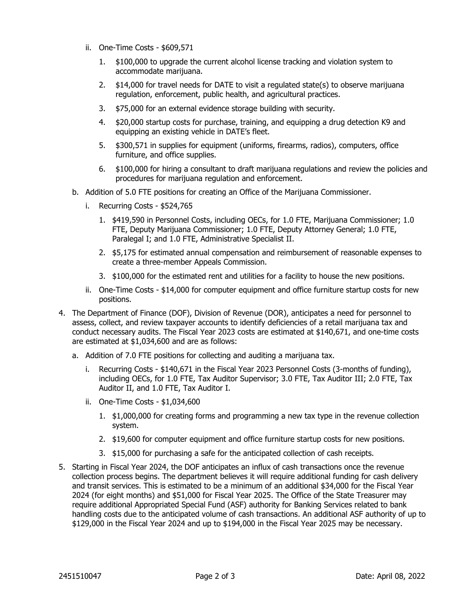- ii. One-Time Costs \$609,571
	- 1. \$100,000 to upgrade the current alcohol license tracking and violation system to accommodate marijuana.
	- 2. \$14,000 for travel needs for DATE to visit a regulated state(s) to observe marijuana regulation, enforcement, public health, and agricultural practices.
	- 3. \$75,000 for an external evidence storage building with security.
	- 4. \$20,000 startup costs for purchase, training, and equipping a drug detection K9 and equipping an existing vehicle in DATE's fleet.
	- 5. \$300,571 in supplies for equipment (uniforms, firearms, radios), computers, office furniture, and office supplies.
	- 6. \$100,000 for hiring a consultant to draft marijuana regulations and review the policies and procedures for marijuana regulation and enforcement.
- b. Addition of 5.0 FTE positions for creating an Office of the Marijuana Commissioner.
	- i. Recurring Costs \$524,765
		- 1. \$419,590 in Personnel Costs, including OECs, for 1.0 FTE, Marijuana Commissioner; 1.0 FTE, Deputy Marijuana Commissioner; 1.0 FTE, Deputy Attorney General; 1.0 FTE, Paralegal I; and 1.0 FTE, Administrative Specialist II.
		- 2. \$5,175 for estimated annual compensation and reimbursement of reasonable expenses to create a three-member Appeals Commission.
		- 3. \$100,000 for the estimated rent and utilities for a facility to house the new positions.
	- ii. One-Time Costs \$14,000 for computer equipment and office furniture startup costs for new positions.
- 4. The Department of Finance (DOF), Division of Revenue (DOR), anticipates a need for personnel to assess, collect, and review taxpayer accounts to identify deficiencies of a retail marijuana tax and conduct necessary audits. The Fiscal Year 2023 costs are estimated at \$140,671, and one-time costs are estimated at \$1,034,600 and are as follows:
	- a. Addition of 7.0 FTE positions for collecting and auditing a marijuana tax.
		- i. Recurring Costs \$140,671 in the Fiscal Year 2023 Personnel Costs (3-months of funding), including OECs, for 1.0 FTE, Tax Auditor Supervisor; 3.0 FTE, Tax Auditor III; 2.0 FTE, Tax Auditor II, and 1.0 FTE, Tax Auditor I.
		- ii. One-Time Costs \$1,034,600
			- 1. \$1,000,000 for creating forms and programming a new tax type in the revenue collection system.
			- 2. \$19,600 for computer equipment and office furniture startup costs for new positions.
			- 3. \$15,000 for purchasing a safe for the anticipated collection of cash receipts.
- 5. Starting in Fiscal Year 2024, the DOF anticipates an influx of cash transactions once the revenue collection process begins. The department believes it will require additional funding for cash delivery and transit services. This is estimated to be a minimum of an additional \$34,000 for the Fiscal Year 2024 (for eight months) and \$51,000 for Fiscal Year 2025. The Office of the State Treasurer may require additional Appropriated Special Fund (ASF) authority for Banking Services related to bank handling costs due to the anticipated volume of cash transactions. An additional ASF authority of up to \$129,000 in the Fiscal Year 2024 and up to \$194,000 in the Fiscal Year 2025 may be necessary.